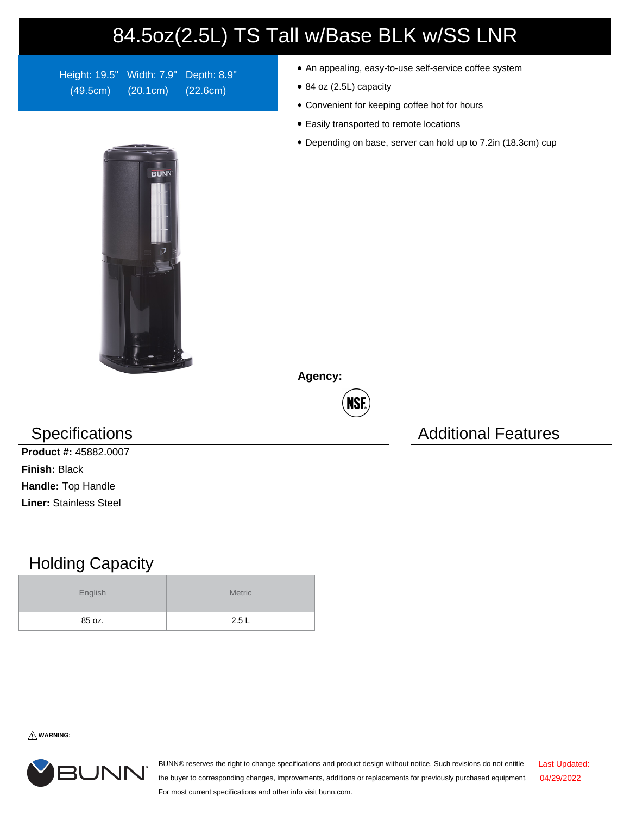## 84.5oz(2.5L) TS Tall w/Base BLK w/SS LNR

Height: 19.5" Width: 7.9" Depth: 8.9" (49.5cm) (20.1cm) (22.6cm)

- An appealing, easy-to-use self-service coffee system
- 84 oz (2.5L) capacity
- Convenient for keeping coffee hot for hours
- Easily transported to remote locations
- Depending on base, server can hold up to 7.2in (18.3cm) cup



**Agency:**

NSF

## Specifications **Additional Features** Additional Features

**Product #:** 45882.0007 **Finish:** Black **Handle:** Top Handle **Liner:** Stainless Steel

## Holding Capacity

| English | <b>Metric</b> |  |  |  |
|---------|---------------|--|--|--|
| 85 oz.  | 2.5L          |  |  |  |

**WARNING:**



BUNN® reserves the right to change specifications and product design without notice. Such revisions do not entitle the buyer to corresponding changes, improvements, additions or replacements for previously purchased equipment. For most current specifications and other info visit bunn.com. Last Updated: 04/29/2022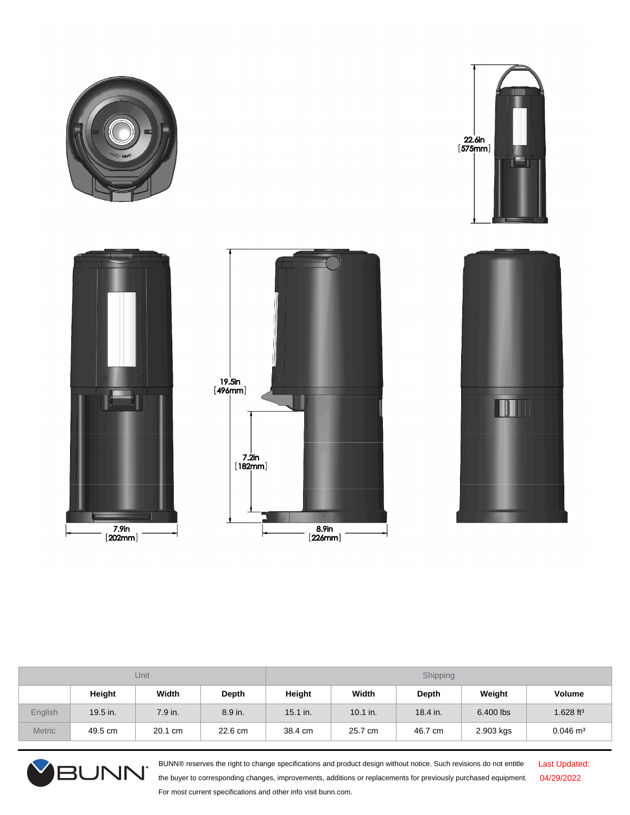









| Unit          |          |         | Shipping |            |            |          |           |                         |
|---------------|----------|---------|----------|------------|------------|----------|-----------|-------------------------|
|               | Height   | Width   | Depth    | Height     | Width      | Depth    | Weight    | Volume                  |
| English       | 19.5 in. | 7.9 in. | 8.9 in.  | $15.1$ in. | $10.1$ in. | 18.4 in. | 6.400 lbs | $1.628$ ft <sup>3</sup> |
| <b>Metric</b> | 49.5 cm  | 20.1 cm | 22.6 cm  | 38.4 cm    | 25.7 cm    | 46.7 cm  | 2.903 kgs | $0.046 \text{ m}^3$     |



BUNN® reserves the right to change specifications and product design without notice. Such revisions do not entitle the buyer to corresponding changes, improvements, additions or replacements for previously purchased equipment. For most current specifications and other info visit bunn.com.

Last Updated: 04/29/2022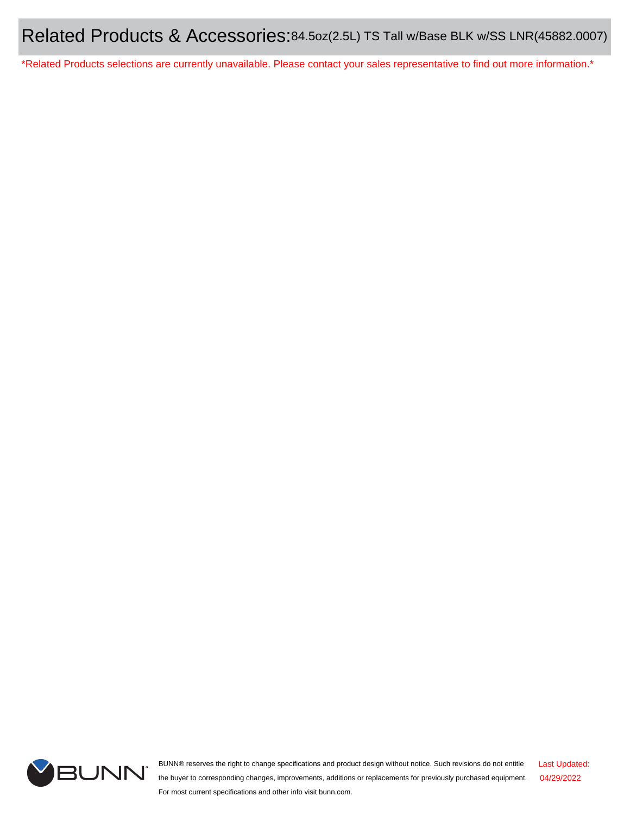\*Related Products selections are currently unavailable. Please contact your sales representative to find out more information.\*



BUNN® reserves the right to change specifications and product design without notice. Such revisions do not entitle the buyer to corresponding changes, improvements, additions or replacements for previously purchased equipment. For most current specifications and other info visit bunn.com. Last Updated: 04/29/2022